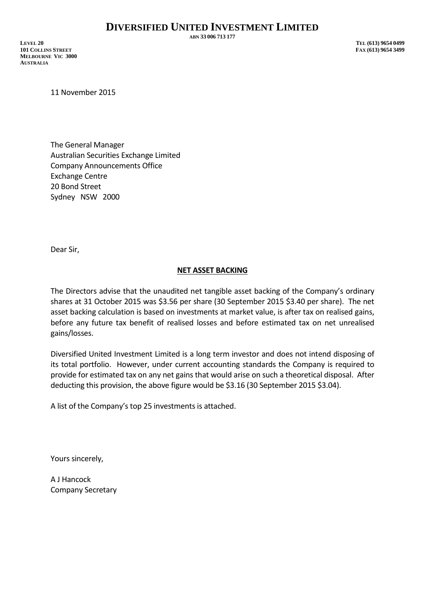**ABN 33 006 713 177**

**LEVEL 20 TEL (613) 9654 0499 101 COLLINS STREET FAX (613) 9654 3499 MELBOURNE VIC 3000 AUSTRALIA**

11 November 2015

The General Manager Australian Securities Exchange Limited Company Announcements Office Exchange Centre 20 Bond Street Sydney NSW 2000

Dear Sir,

## **NET ASSET BACKING**

The Directors advise that the unaudited net tangible asset backing of the Company's ordinary shares at 31 October 2015 was \$3.56 per share (30 September 2015 \$3.40 per share). The net asset backing calculation is based on investments at market value, is after tax on realised gains, before any future tax benefit of realised losses and before estimated tax on net unrealised gains/losses.

Diversified United Investment Limited is a long term investor and does not intend disposing of its total portfolio. However, under current accounting standards the Company is required to provide for estimated tax on any net gains that would arise on such a theoretical disposal. After deducting this provision, the above figure would be \$3.16 (30 September 2015 \$3.04).

A list of the Company's top 25 investments is attached.

Yours sincerely,

A J Hancock Company Secretary